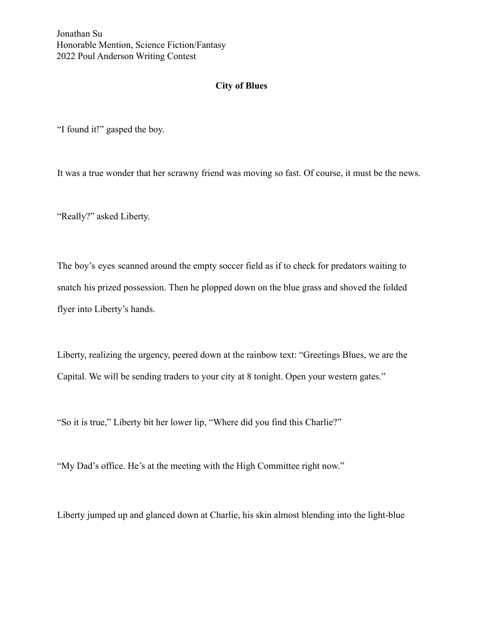Jonathan Su Honorable Mention, Science Fiction/Fantasy 2022 Poul Anderson Writing Contest

## **City of Blues**

"I found it!" gasped the boy.

It was a true wonder that her scrawny friend was moving so fast. Of course, it must be the news.

"Really?" asked Liberty.

The boy's eyes scanned around the empty soccer field as if to check for predators waiting to snatch his prized possession. Then he plopped down on the blue grass and shoved the folded flyer into Liberty's hands.

Liberty, realizing the urgency, peered down at the rainbow text: "Greetings Blues, we are the Capital. We will be sending traders to your city at 8 tonight. Open your western gates."

"So it is true," Liberty bit her lower lip, "Where did you find this Charlie?"

"My Dad's office. He's at the meeting with the High Committee right now."

Liberty jumped up and glanced down at Charlie, his skin almost blending into the light-blue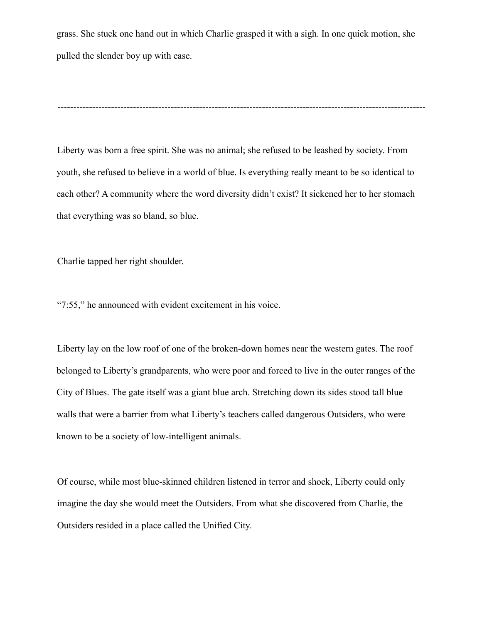grass. She stuck one hand out in which Charlie grasped it with a sigh. In one quick motion, she pulled the slender boy up with ease.

---------------------------------------------------------------------------------------------------------------------

Liberty was born a free spirit. She was no animal; she refused to be leashed by society. From youth, she refused to believe in a world of blue. Is everything really meant to be so identical to each other? A community where the word diversity didn't exist? It sickened her to her stomach that everything was so bland, so blue.

Charlie tapped her right shoulder.

"7:55," he announced with evident excitement in his voice.

Liberty lay on the low roof of one of the broken-down homes near the western gates. The roof belonged to Liberty's grandparents, who were poor and forced to live in the outer ranges of the City of Blues. The gate itself was a giant blue arch. Stretching down its sides stood tall blue walls that were a barrier from what Liberty's teachers called dangerous Outsiders, who were known to be a society of low-intelligent animals.

Of course, while most blue-skinned children listened in terror and shock, Liberty could only imagine the day she would meet the Outsiders. From what she discovered from Charlie, the Outsiders resided in a place called the Unified City.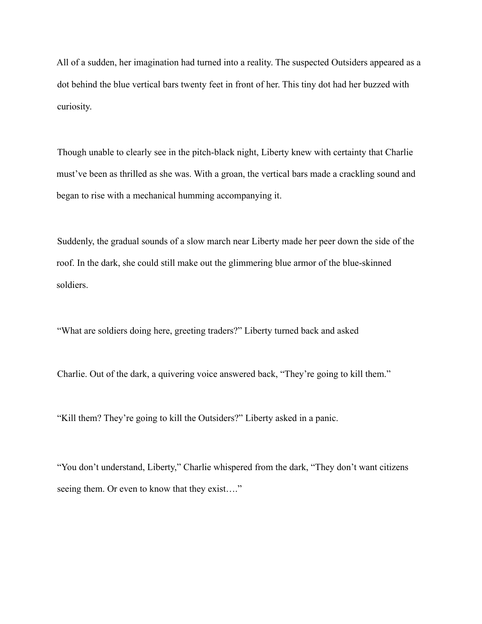All of a sudden, her imagination had turned into a reality. The suspected Outsiders appeared as a dot behind the blue vertical bars twenty feet in front of her. This tiny dot had her buzzed with curiosity.

Though unable to clearly see in the pitch-black night, Liberty knew with certainty that Charlie must've been as thrilled as she was. With a groan, the vertical bars made a crackling sound and began to rise with a mechanical humming accompanying it.

Suddenly, the gradual sounds of a slow march near Liberty made her peer down the side of the roof. In the dark, she could still make out the glimmering blue armor of the blue-skinned soldiers.

"What are soldiers doing here, greeting traders?" Liberty turned back and asked

Charlie. Out of the dark, a quivering voice answered back, "They're going to kill them."

"Kill them? They're going to kill the Outsiders?" Liberty asked in a panic.

"You don't understand, Liberty," Charlie whispered from the dark, "They don't want citizens seeing them. Or even to know that they exist…."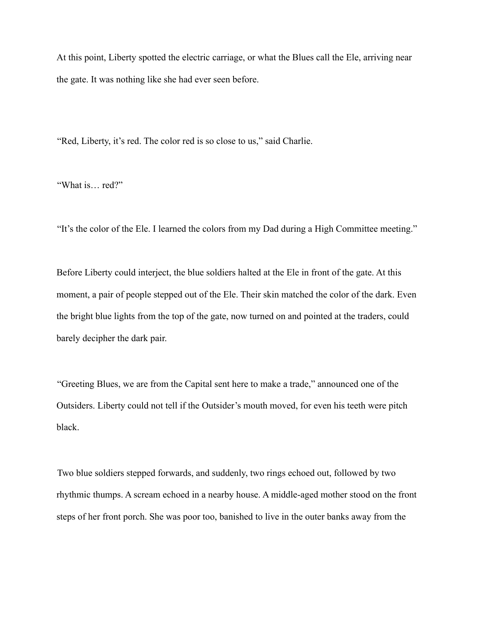At this point, Liberty spotted the electric carriage, or what the Blues call the Ele, arriving near the gate. It was nothing like she had ever seen before.

"Red, Liberty, it's red. The color red is so close to us," said Charlie.

"What is… red?"

"It's the color of the Ele. I learned the colors from my Dad during a High Committee meeting."

Before Liberty could interject, the blue soldiers halted at the Ele in front of the gate. At this moment, a pair of people stepped out of the Ele. Their skin matched the color of the dark. Even the bright blue lights from the top of the gate, now turned on and pointed at the traders, could barely decipher the dark pair.

"Greeting Blues, we are from the Capital sent here to make a trade," announced one of the Outsiders. Liberty could not tell if the Outsider's mouth moved, for even his teeth were pitch black.

Two blue soldiers stepped forwards, and suddenly, two rings echoed out, followed by two rhythmic thumps. A scream echoed in a nearby house. A middle-aged mother stood on the front steps of her front porch. She was poor too, banished to live in the outer banks away from the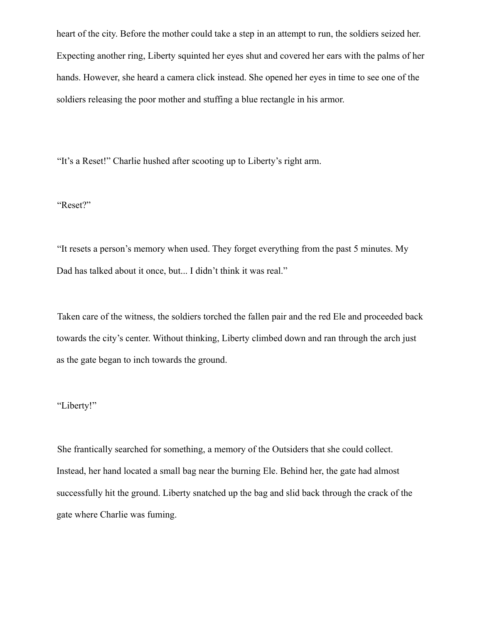heart of the city. Before the mother could take a step in an attempt to run, the soldiers seized her. Expecting another ring, Liberty squinted her eyes shut and covered her ears with the palms of her hands. However, she heard a camera click instead. She opened her eyes in time to see one of the soldiers releasing the poor mother and stuffing a blue rectangle in his armor.

"It's a Reset!" Charlie hushed after scooting up to Liberty's right arm.

## "Reset?"

"It resets a person's memory when used. They forget everything from the past 5 minutes. My Dad has talked about it once, but... I didn't think it was real."

Taken care of the witness, the soldiers torched the fallen pair and the red Ele and proceeded back towards the city's center. Without thinking, Liberty climbed down and ran through the arch just as the gate began to inch towards the ground.

## "Liberty!"

She frantically searched for something, a memory of the Outsiders that she could collect. Instead, her hand located a small bag near the burning Ele. Behind her, the gate had almost successfully hit the ground. Liberty snatched up the bag and slid back through the crack of the gate where Charlie was fuming.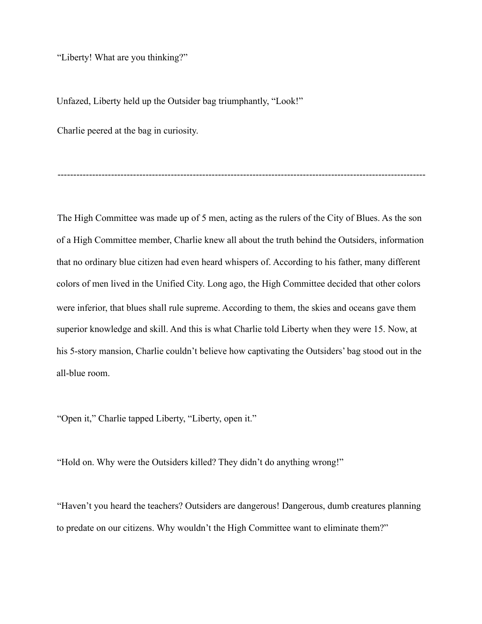"Liberty! What are you thinking?"

Unfazed, Liberty held up the Outsider bag triumphantly, "Look!"

Charlie peered at the bag in curiosity.

The High Committee was made up of 5 men, acting as the rulers of the City of Blues. As the son of a High Committee member, Charlie knew all about the truth behind the Outsiders, information that no ordinary blue citizen had even heard whispers of. According to his father, many different colors of men lived in the Unified City. Long ago, the High Committee decided that other colors were inferior, that blues shall rule supreme. According to them, the skies and oceans gave them superior knowledge and skill. And this is what Charlie told Liberty when they were 15. Now, at his 5-story mansion, Charlie couldn't believe how captivating the Outsiders' bag stood out in the all-blue room.

---------------------------------------------------------------------------------------------------------------------

"Open it," Charlie tapped Liberty, "Liberty, open it."

"Hold on. Why were the Outsiders killed? They didn't do anything wrong!"

"Haven't you heard the teachers? Outsiders are dangerous! Dangerous, dumb creatures planning to predate on our citizens. Why wouldn't the High Committee want to eliminate them?"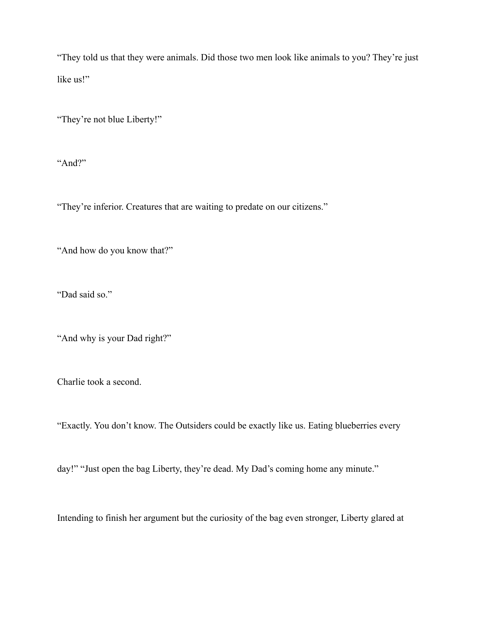"They told us that they were animals. Did those two men look like animals to you? They're just like us!"

"They're not blue Liberty!"

"And?"

"They're inferior. Creatures that are waiting to predate on our citizens."

"And how do you know that?"

"Dad said so."

"And why is your Dad right?"

Charlie took a second.

"Exactly. You don't know. The Outsiders could be exactly like us. Eating blueberries every

day!" "Just open the bag Liberty, they're dead. My Dad's coming home any minute."

Intending to finish her argument but the curiosity of the bag even stronger, Liberty glared at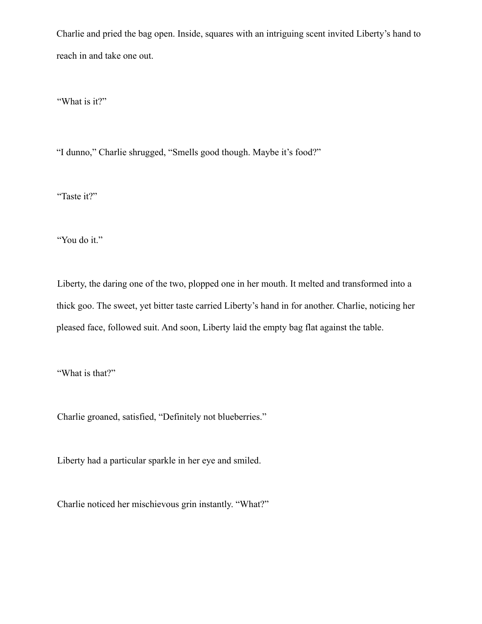Charlie and pried the bag open. Inside, squares with an intriguing scent invited Liberty's hand to reach in and take one out.

"What is it?"

"I dunno," Charlie shrugged, "Smells good though. Maybe it's food?"

"Taste it?"

"You do it."

Liberty, the daring one of the two, plopped one in her mouth. It melted and transformed into a thick goo. The sweet, yet bitter taste carried Liberty's hand in for another. Charlie, noticing her pleased face, followed suit. And soon, Liberty laid the empty bag flat against the table.

"What is that?"

Charlie groaned, satisfied, "Definitely not blueberries."

Liberty had a particular sparkle in her eye and smiled.

Charlie noticed her mischievous grin instantly. "What?"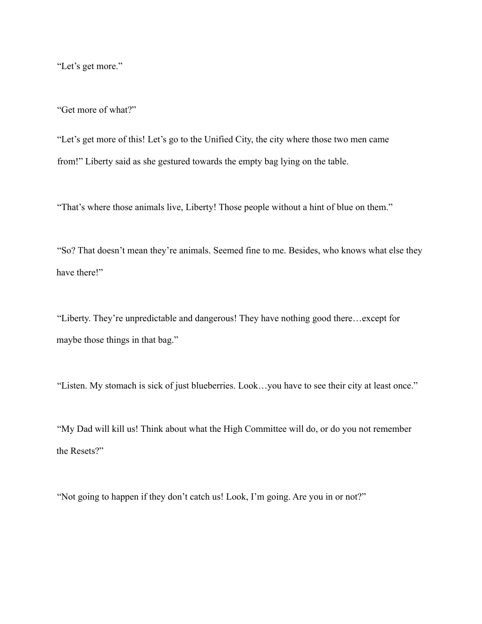"Let's get more."

"Get more of what?"

"Let's get more of this! Let's go to the Unified City, the city where those two men came from!" Liberty said as she gestured towards the empty bag lying on the table.

"That's where those animals live, Liberty! Those people without a hint of blue on them."

"So? That doesn't mean they're animals. Seemed fine to me. Besides, who knows what else they have there!"

"Liberty. They're unpredictable and dangerous! They have nothing good there…except for maybe those things in that bag."

"Listen. My stomach is sick of just blueberries. Look…you have to see their city at least once."

"My Dad will kill us! Think about what the High Committee will do, or do you not remember the Resets?"

"Not going to happen if they don't catch us! Look, I'm going. Are you in or not?"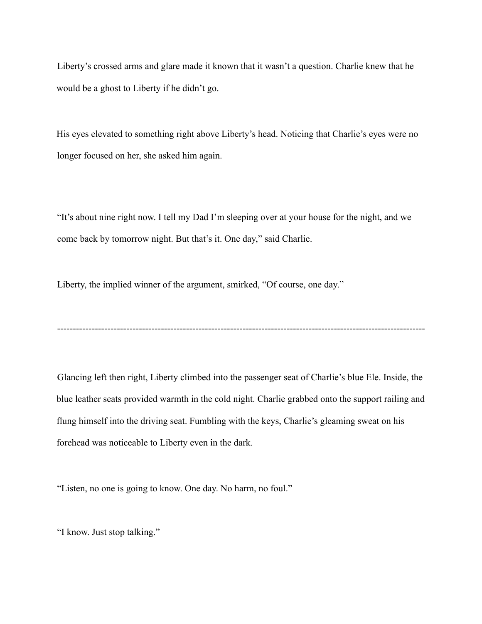Liberty's crossed arms and glare made it known that it wasn't a question. Charlie knew that he would be a ghost to Liberty if he didn't go.

His eyes elevated to something right above Liberty's head. Noticing that Charlie's eyes were no longer focused on her, she asked him again.

"It's about nine right now. I tell my Dad I'm sleeping over at your house for the night, and we come back by tomorrow night. But that's it. One day," said Charlie.

Liberty, the implied winner of the argument, smirked, "Of course, one day."

Glancing left then right, Liberty climbed into the passenger seat of Charlie's blue Ele. Inside, the blue leather seats provided warmth in the cold night. Charlie grabbed onto the support railing and flung himself into the driving seat. Fumbling with the keys, Charlie's gleaming sweat on his forehead was noticeable to Liberty even in the dark.

---------------------------------------------------------------------------------------------------------------------

"Listen, no one is going to know. One day. No harm, no foul."

"I know. Just stop talking."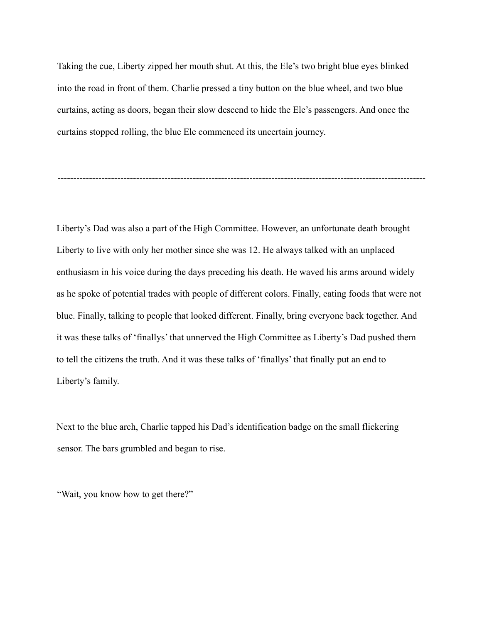Taking the cue, Liberty zipped her mouth shut. At this, the Ele's two bright blue eyes blinked into the road in front of them. Charlie pressed a tiny button on the blue wheel, and two blue curtains, acting as doors, began their slow descend to hide the Ele's passengers. And once the curtains stopped rolling, the blue Ele commenced its uncertain journey.

---------------------------------------------------------------------------------------------------------------------

Liberty's Dad was also a part of the High Committee. However, an unfortunate death brought Liberty to live with only her mother since she was 12. He always talked with an unplaced enthusiasm in his voice during the days preceding his death. He waved his arms around widely as he spoke of potential trades with people of different colors. Finally, eating foods that were not blue. Finally, talking to people that looked different. Finally, bring everyone back together. And it was these talks of 'finallys' that unnerved the High Committee as Liberty's Dad pushed them to tell the citizens the truth. And it was these talks of 'finallys' that finally put an end to Liberty's family.

Next to the blue arch, Charlie tapped his Dad's identification badge on the small flickering sensor. The bars grumbled and began to rise.

"Wait, you know how to get there?"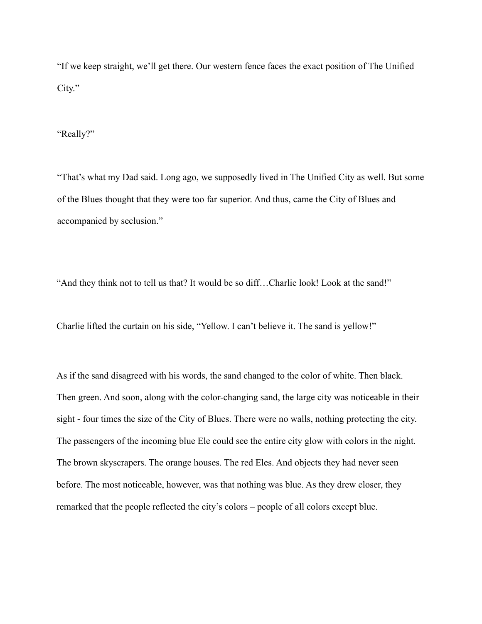"If we keep straight, we'll get there. Our western fence faces the exact position of The Unified City."

"Really?"

"That's what my Dad said. Long ago, we supposedly lived in The Unified City as well. But some of the Blues thought that they were too far superior. And thus, came the City of Blues and accompanied by seclusion."

"And they think not to tell us that? It would be so diff…Charlie look! Look at the sand!"

Charlie lifted the curtain on his side, "Yellow. I can't believe it. The sand is yellow!"

As if the sand disagreed with his words, the sand changed to the color of white. Then black. Then green. And soon, along with the color-changing sand, the large city was noticeable in their sight - four times the size of the City of Blues. There were no walls, nothing protecting the city. The passengers of the incoming blue Ele could see the entire city glow with colors in the night. The brown skyscrapers. The orange houses. The red Eles. And objects they had never seen before. The most noticeable, however, was that nothing was blue. As they drew closer, they remarked that the people reflected the city's colors – people of all colors except blue.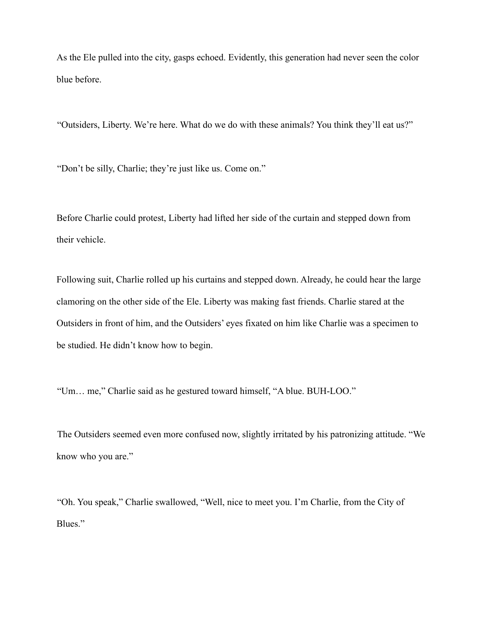As the Ele pulled into the city, gasps echoed. Evidently, this generation had never seen the color blue before.

"Outsiders, Liberty. We're here. What do we do with these animals? You think they'll eat us?"

"Don't be silly, Charlie; they're just like us. Come on."

Before Charlie could protest, Liberty had lifted her side of the curtain and stepped down from their vehicle.

Following suit, Charlie rolled up his curtains and stepped down. Already, he could hear the large clamoring on the other side of the Ele. Liberty was making fast friends. Charlie stared at the Outsiders in front of him, and the Outsiders' eyes fixated on him like Charlie was a specimen to be studied. He didn't know how to begin.

"Um… me," Charlie said as he gestured toward himself, "A blue. BUH-LOO."

The Outsiders seemed even more confused now, slightly irritated by his patronizing attitude. "We know who you are."

"Oh. You speak," Charlie swallowed, "Well, nice to meet you. I'm Charlie, from the City of Blues."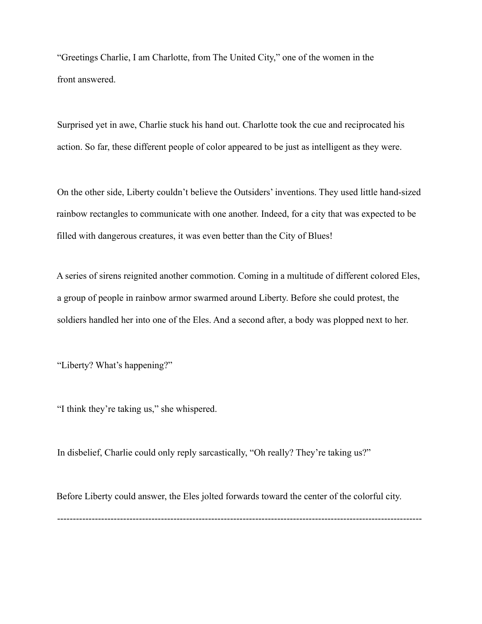"Greetings Charlie, I am Charlotte, from The United City," one of the women in the front answered.

Surprised yet in awe, Charlie stuck his hand out. Charlotte took the cue and reciprocated his action. So far, these different people of color appeared to be just as intelligent as they were.

On the other side, Liberty couldn't believe the Outsiders' inventions. They used little hand-sized rainbow rectangles to communicate with one another. Indeed, for a city that was expected to be filled with dangerous creatures, it was even better than the City of Blues!

A series of sirens reignited another commotion. Coming in a multitude of different colored Eles, a group of people in rainbow armor swarmed around Liberty. Before she could protest, the soldiers handled her into one of the Eles. And a second after, a body was plopped next to her.

"Liberty? What's happening?"

"I think they're taking us," she whispered.

In disbelief, Charlie could only reply sarcastically, "Oh really? They're taking us?"

Before Liberty could answer, the Eles jolted forwards toward the center of the colorful city. --------------------------------------------------------------------------------------------------------------------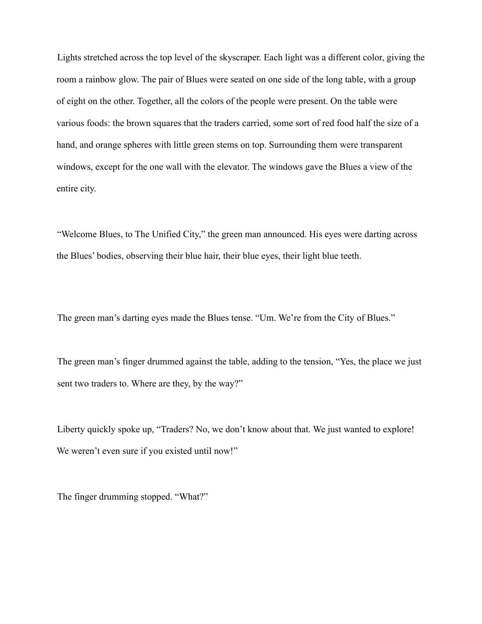Lights stretched across the top level of the skyscraper. Each light was a different color, giving the room a rainbow glow. The pair of Blues were seated on one side of the long table, with a group of eight on the other. Together, all the colors of the people were present. On the table were various foods: the brown squares that the traders carried, some sort of red food half the size of a hand, and orange spheres with little green stems on top. Surrounding them were transparent windows, except for the one wall with the elevator. The windows gave the Blues a view of the entire city.

"Welcome Blues, to The Unified City," the green man announced. His eyes were darting across the Blues' bodies, observing their blue hair, their blue eyes, their light blue teeth.

The green man's darting eyes made the Blues tense. "Um. We're from the City of Blues."

The green man's finger drummed against the table, adding to the tension, "Yes, the place we just sent two traders to. Where are they, by the way?"

Liberty quickly spoke up, "Traders? No, we don't know about that. We just wanted to explore! We weren't even sure if you existed until now!"

The finger drumming stopped. "What?"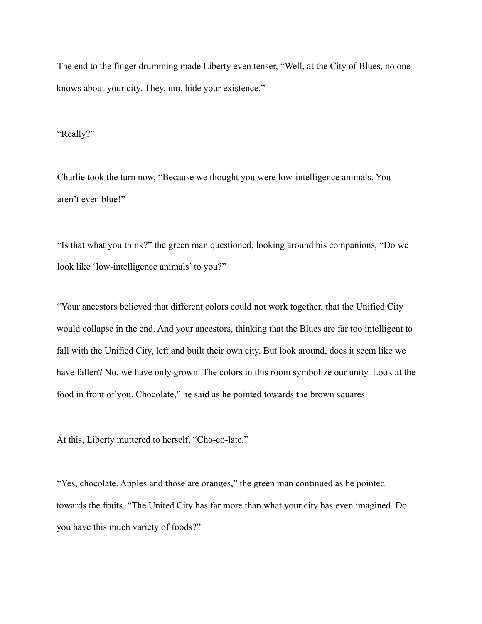The end to the finger drumming made Liberty even tenser, "Well, at the City of Blues, no one knows about your city. They, um, hide your existence."

"Really?"

Charlie took the turn now, "Because we thought you were low-intelligence animals. You aren't even blue!"

"Is that what you think?" the green man questioned, looking around his companions, "Do we look like 'low-intelligence animals' to you?"

"Your ancestors believed that different colors could not work together, that the Unified City would collapse in the end. And your ancestors, thinking that the Blues are far too intelligent to fall with the Unified City, left and built their own city. But look around, does it seem like we have fallen? No, we have only grown. The colors in this room symbolize our unity. Look at the food in front of you. Chocolate," he said as he pointed towards the brown squares.

At this, Liberty muttered to herself, "Cho-co-late."

"Yes, chocolate. Apples and those are oranges," the green man continued as he pointed towards the fruits. "The United City has far more than what your city has even imagined. Do you have this much variety of foods?"